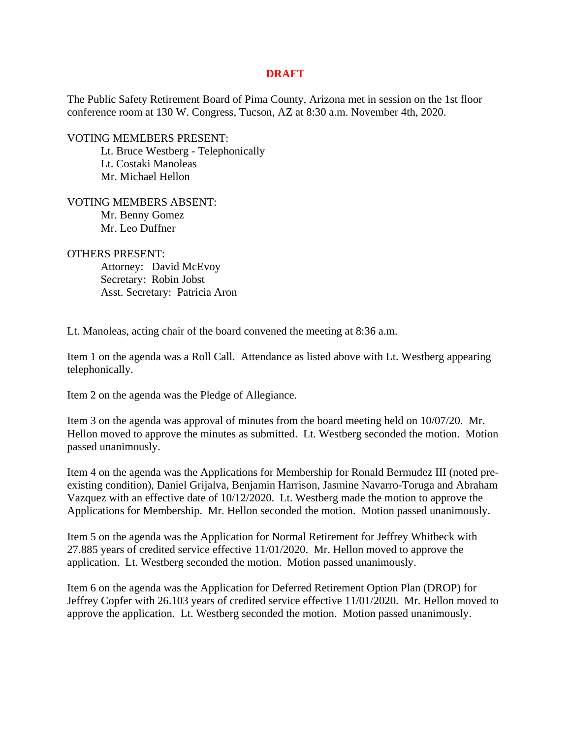## **DRAFT**

The Public Safety Retirement Board of Pima County, Arizona met in session on the 1st floor conference room at 130 W. Congress, Tucson, AZ at 8:30 a.m. November 4th, 2020.

VOTING MEMEBERS PRESENT:

Lt. Bruce Westberg - Telephonically Lt. Costaki Manoleas Mr. Michael Hellon

VOTING MEMBERS ABSENT: Mr. Benny Gomez Mr. Leo Duffner

## OTHERS PRESENT:

 Attorney: David McEvoy Secretary: Robin Jobst Asst. Secretary: Patricia Aron

Lt. Manoleas, acting chair of the board convened the meeting at 8:36 a.m.

Item 1 on the agenda was a Roll Call. Attendance as listed above with Lt. Westberg appearing telephonically.

Item 2 on the agenda was the Pledge of Allegiance.

Item 3 on the agenda was approval of minutes from the board meeting held on 10/07/20. Mr. Hellon moved to approve the minutes as submitted. Lt. Westberg seconded the motion. Motion passed unanimously.

Item 4 on the agenda was the Applications for Membership for Ronald Bermudez III (noted preexisting condition), Daniel Grijalva, Benjamin Harrison, Jasmine Navarro-Toruga and Abraham Vazquez with an effective date of 10/12/2020. Lt. Westberg made the motion to approve the Applications for Membership. Mr. Hellon seconded the motion. Motion passed unanimously.

Item 5 on the agenda was the Application for Normal Retirement for Jeffrey Whitbeck with 27.885 years of credited service effective 11/01/2020. Mr. Hellon moved to approve the application. Lt. Westberg seconded the motion. Motion passed unanimously.

Item 6 on the agenda was the Application for Deferred Retirement Option Plan (DROP) for Jeffrey Copfer with 26.103 years of credited service effective 11/01/2020. Mr. Hellon moved to approve the application. Lt. Westberg seconded the motion. Motion passed unanimously.